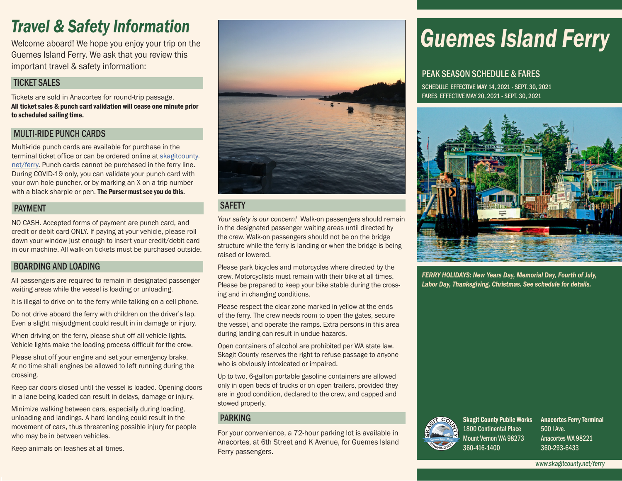## *Travel & Safety Information*

Welcome aboard! We hope you enjoy your trip on the Guemes Island Ferry. We ask that you review this important travel & safety information:

#### TICKET SALES

Tickets are sold in Anacortes for round-trip passage. All ticket sales & punch card validation will cease one minute prior to scheduled sailing time.

#### MULTI-RIDE PUNCH CARDS

Multi-ride punch cards are available for purchase in the terminal ticket office or can be ordered online at [skagitcounty.](http://skagitcounty.net/ferry) [net/ferry.](http://skagitcounty.net/ferry) Punch cards cannot be purchased in the ferry line. During COVID-19 only, you can validate your punch card with your own hole puncher, or by marking an X on a trip number with a black sharpie or pen. The Purser must see you do this.

#### PAYMENT

NO CASH. Accepted forms of payment are punch card, and credit or debit card ONLY. If paying at your vehicle, please roll down your window just enough to insert your credit/debit card in our machine. All walk-on tickets must be purchased outside.

#### BOARDING AND LOADING

All passengers are required to remain in designated passenger waiting areas while the vessel is loading or unloading.

It is illegal to drive on to the ferry while talking on a cell phone.

Do not drive aboard the ferry with children on the driver's lap. Even a slight misjudgment could result in in damage or injury.

When driving on the ferry, please shut off all vehicle lights. Vehicle lights make the loading process difficult for the crew.

Please shut off your engine and set your emergency brake. At no time shall engines be allowed to left running during the crossing.

Keep car doors closed until the vessel is loaded. Opening doors in a lane being loaded can result in delays, damage or injury.

Minimize walking between cars, especially during loading, unloading and landings. A hard landing could result in the movement of cars, thus threatening possible injury for people who may be in between vehicles.

Keep animals on leashes at all times.



#### **SAFETY**

*Your safety is our concern!* Walk-on passengers should remain in the designated passenger waiting areas until directed by the crew. Walk-on passengers should not be on the bridge structure while the ferry is landing or when the bridge is being raised or lowered.

Please park bicycles and motorcycles where directed by the crew. Motorcyclists must remain with their bike at all times. Please be prepared to keep your bike stable during the crossing and in changing conditions.

Please respect the clear zone marked in yellow at the ends of the ferry. The crew needs room to open the gates, secure the vessel, and operate the ramps. Extra persons in this area during landing can result in undue hazards.

Open containers of alcohol are prohibited per WA state law. Skagit County reserves the right to refuse passage to anyone who is obviously intoxicated or impaired.

Up to two, 6-gallon portable gasoline containers are allowed only in open beds of trucks or on open trailers, provided they are in good condition, declared to the crew, and capped and stowed properly.

#### PARKING

For your convenience, a 72-hour parking lot is available in Anacortes, at 6th Street and K Avenue, for Guemes Island Ferry passengers.

# *Guemes Island Ferry*

#### PEAK SEASON SCHEDULE & FARES

SCHEDULE EFFECTIVE MAY 14, 2021 - SEPT. 30, 2021 FARES EFFECTIVE MAY 20, 2021 - SEPT. 30, 2021



*FERRY HOLIDAYS: New Years Day, Memorial Day, Fourth of July, Labor Day, Thanksgiving, Christmas. See schedule for details.*



Skagit County Public Works Anacortes Ferry Terminal 1800 Continental Place Mount Vernon WA 98273 360-416-1400

500 I Ave. Anacortes WA 98221 360-293-6433